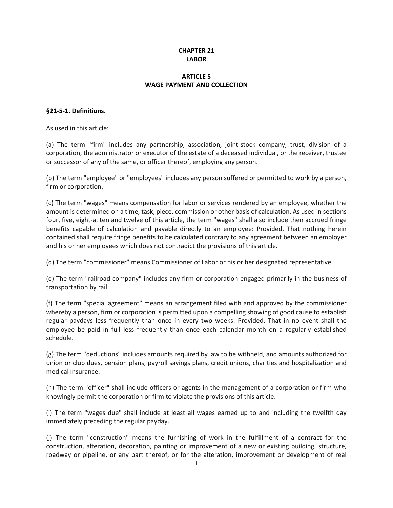# **CHAPTER 21 LABOR**

# **ARTICLE 5 WAGE PAYMENT AND COLLECTION**

## **§21-5-1. Definitions.**

As used in this article:

(a) The term "firm" includes any partnership, association, joint-stock company, trust, division of a corporation, the administrator or executor of the estate of a deceased individual, or the receiver, trustee or successor of any of the same, or officer thereof, employing any person.

(b) The term "employee" or "employees" includes any person suffered or permitted to work by a person, firm or corporation.

(c) The term "wages" means compensation for labor or services rendered by an employee, whether the amount is determined on a time, task, piece, commission or other basis of calculation. As used in sections four, five, eight-a, ten and twelve of this article, the term "wages" shall also include then accrued fringe benefits capable of calculation and payable directly to an employee: Provided, That nothing herein contained shall require fringe benefits to be calculated contrary to any agreement between an employer and his or her employees which does not contradict the provisions of this article.

(d) The term "commissioner" means Commissioner of Labor or his or her designated representative.

(e) The term "railroad company" includes any firm or corporation engaged primarily in the business of transportation by rail.

(f) The term "special agreement" means an arrangement filed with and approved by the commissioner whereby a person, firm or corporation is permitted upon a compelling showing of good cause to establish regular paydays less frequently than once in every two weeks: Provided, That in no event shall the employee be paid in full less frequently than once each calendar month on a regularly established schedule.

(g) The term "deductions" includes amounts required by law to be withheld, and amounts authorized for union or club dues, pension plans, payroll savings plans, credit unions, charities and hospitalization and medical insurance.

(h) The term "officer" shall include officers or agents in the management of a corporation or firm who knowingly permit the corporation or firm to violate the provisions of this article.

(i) The term "wages due" shall include at least all wages earned up to and including the twelfth day immediately preceding the regular payday.

(j) The term "construction" means the furnishing of work in the fulfillment of a contract for the construction, alteration, decoration, painting or improvement of a new or existing building, structure, roadway or pipeline, or any part thereof, or for the alteration, improvement or development of real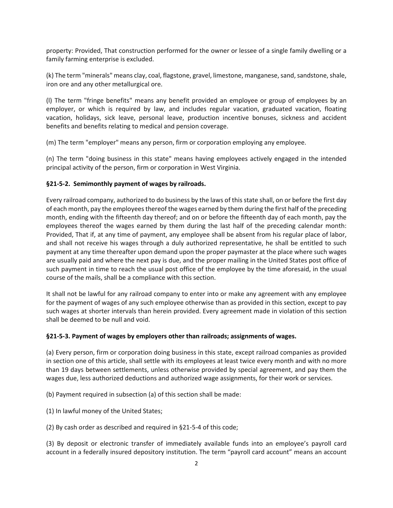property: Provided, That construction performed for the owner or lessee of a single family dwelling or a family farming enterprise is excluded.

(k) The term "minerals" means clay, coal, flagstone, gravel, limestone, manganese, sand, sandstone, shale, iron ore and any other metallurgical ore.

(l) The term "fringe benefits" means any benefit provided an employee or group of employees by an employer, or which is required by law, and includes regular vacation, graduated vacation, floating vacation, holidays, sick leave, personal leave, production incentive bonuses, sickness and accident benefits and benefits relating to medical and pension coverage.

(m) The term "employer" means any person, firm or corporation employing any employee.

(n) The term "doing business in this state" means having employees actively engaged in the intended principal activity of the person, firm or corporation in West Virginia.

## **§21-5-2. Semimonthly payment of wages by railroads.**

Every railroad company, authorized to do business by the laws of this state shall, on or before the first day of each month, pay the employees thereof the wages earned by them during the first half of the preceding month, ending with the fifteenth day thereof; and on or before the fifteenth day of each month, pay the employees thereof the wages earned by them during the last half of the preceding calendar month: Provided, That if, at any time of payment, any employee shall be absent from his regular place of labor, and shall not receive his wages through a duly authorized representative, he shall be entitled to such payment at any time thereafter upon demand upon the proper paymaster at the place where such wages are usually paid and where the next pay is due, and the proper mailing in the United States post office of such payment in time to reach the usual post office of the employee by the time aforesaid, in the usual course of the mails, shall be a compliance with this section.

It shall not be lawful for any railroad company to enter into or make any agreement with any employee for the payment of wages of any such employee otherwise than as provided in this section, except to pay such wages at shorter intervals than herein provided. Every agreement made in violation of this section shall be deemed to be null and void.

#### **§21-5-3. Payment of wages by employers other than railroads; assignments of wages.**

(a) Every person, firm or corporation doing business in this state, except railroad companies as provided in section one of this article, shall settle with its employees at least twice every month and with no more than 19 days between settlements, unless otherwise provided by special agreement, and pay them the wages due, less authorized deductions and authorized wage assignments, for their work or services.

(b) Payment required in subsection (a) of this section shall be made:

(1) In lawful money of the United States;

(2) By cash order as described and required in §21-5-4 of this code;

(3) By deposit or electronic transfer of immediately available funds into an employee's payroll card account in a federally insured depository institution. The term "payroll card account" means an account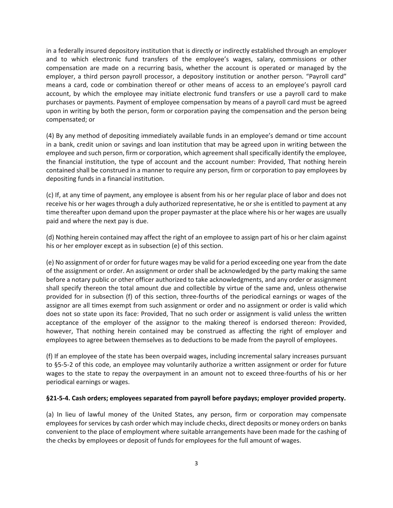in a federally insured depository institution that is directly or indirectly established through an employer and to which electronic fund transfers of the employee's wages, salary, commissions or other compensation are made on a recurring basis, whether the account is operated or managed by the employer, a third person payroll processor, a depository institution or another person. "Payroll card" means a card, code or combination thereof or other means of access to an employee's payroll card account, by which the employee may initiate electronic fund transfers or use a payroll card to make purchases or payments. Payment of employee compensation by means of a payroll card must be agreed upon in writing by both the person, form or corporation paying the compensation and the person being compensated; or

(4) By any method of depositing immediately available funds in an employee's demand or time account in a bank, credit union or savings and loan institution that may be agreed upon in writing between the employee and such person, firm or corporation, which agreement shall specifically identify the employee, the financial institution, the type of account and the account number: Provided, That nothing herein contained shall be construed in a manner to require any person, firm or corporation to pay employees by depositing funds in a financial institution.

(c) If, at any time of payment, any employee is absent from his or her regular place of labor and does not receive his or her wages through a duly authorized representative, he or she is entitled to payment at any time thereafter upon demand upon the proper paymaster at the place where his or her wages are usually paid and where the next pay is due.

(d) Nothing herein contained may affect the right of an employee to assign part of his or her claim against his or her employer except as in subsection (e) of this section.

(e) No assignment of or order for future wages may be valid for a period exceeding one year from the date of the assignment or order. An assignment or order shall be acknowledged by the party making the same before a notary public or other officer authorized to take acknowledgments, and any order or assignment shall specify thereon the total amount due and collectible by virtue of the same and, unless otherwise provided for in subsection (f) of this section, three-fourths of the periodical earnings or wages of the assignor are all times exempt from such assignment or order and no assignment or order is valid which does not so state upon its face: Provided, That no such order or assignment is valid unless the written acceptance of the employer of the assignor to the making thereof is endorsed thereon: Provided, however, That nothing herein contained may be construed as affecting the right of employer and employees to agree between themselves as to deductions to be made from the payroll of employees.

(f) If an employee of the state has been overpaid wages, including incremental salary increases pursuant to §5-5-2 of this code, an employee may voluntarily authorize a written assignment or order for future wages to the state to repay the overpayment in an amount not to exceed three-fourths of his or her periodical earnings or wages.

#### **§21-5-4. Cash orders; employees separated from payroll before paydays; employer provided property.**

(a) In lieu of lawful money of the United States, any person, firm or corporation may compensate employees for services by cash order which may include checks, direct deposits or money orders on banks convenient to the place of employment where suitable arrangements have been made for the cashing of the checks by employees or deposit of funds for employees for the full amount of wages.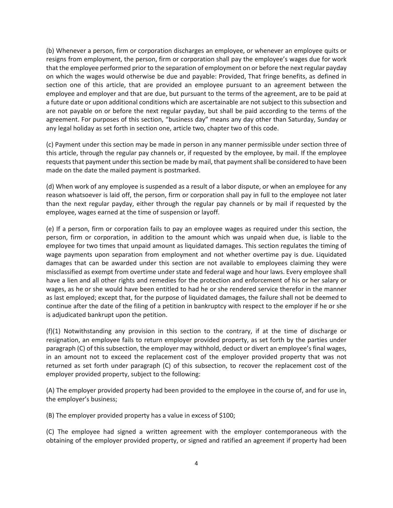(b) Whenever a person, firm or corporation discharges an employee, or whenever an employee quits or resigns from employment, the person, firm or corporation shall pay the employee's wages due for work that the employee performed prior to the separation of employment on or before the next regular payday on which the wages would otherwise be due and payable: Provided, That fringe benefits, as defined in section one of this article, that are provided an employee pursuant to an agreement between the employee and employer and that are due, but pursuant to the terms of the agreement, are to be paid at a future date or upon additional conditions which are ascertainable are not subject to this subsection and are not payable on or before the next regular payday, but shall be paid according to the terms of the agreement. For purposes of this section, "business day" means any day other than Saturday, Sunday or any legal holiday as set forth in section one, article two, chapter two of this code.

(c) Payment under this section may be made in person in any manner permissible under section three of this article, through the regular pay channels or, if requested by the employee, by mail. If the employee requests that payment under this section be made by mail, that payment shall be considered to have been made on the date the mailed payment is postmarked.

(d) When work of any employee is suspended as a result of a labor dispute, or when an employee for any reason whatsoever is laid off, the person, firm or corporation shall pay in full to the employee not later than the next regular payday, either through the regular pay channels or by mail if requested by the employee, wages earned at the time of suspension or layoff.

(e) If a person, firm or corporation fails to pay an employee wages as required under this section, the person, firm or corporation, in addition to the amount which was unpaid when due, is liable to the employee for two times that unpaid amount as liquidated damages. This section regulates the timing of wage payments upon separation from employment and not whether overtime pay is due. Liquidated damages that can be awarded under this section are not available to employees claiming they were misclassified as exempt from overtime under state and federal wage and hour laws. Every employee shall have a lien and all other rights and remedies for the protection and enforcement of his or her salary or wages, as he or she would have been entitled to had he or she rendered service therefor in the manner as last employed; except that, for the purpose of liquidated damages, the failure shall not be deemed to continue after the date of the filing of a petition in bankruptcy with respect to the employer if he or she is adjudicated bankrupt upon the petition.

(f)(1) Notwithstanding any provision in this section to the contrary, if at the time of discharge or resignation, an employee fails to return employer provided property, as set forth by the parties under paragraph (C) of this subsection, the employer may withhold, deduct or divert an employee's final wages, in an amount not to exceed the replacement cost of the employer provided property that was not returned as set forth under paragraph (C) of this subsection, to recover the replacement cost of the employer provided property, subject to the following:

(A) The employer provided property had been provided to the employee in the course of, and for use in, the employer's business;

(B) The employer provided property has a value in excess of \$100;

(C) The employee had signed a written agreement with the employer contemporaneous with the obtaining of the employer provided property, or signed and ratified an agreement if property had been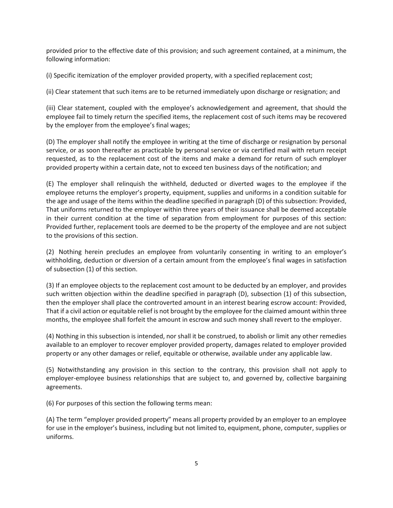provided prior to the effective date of this provision; and such agreement contained, at a minimum, the following information:

(i) Specific itemization of the employer provided property, with a specified replacement cost;

(ii) Clear statement that such items are to be returned immediately upon discharge or resignation; and

(iii) Clear statement, coupled with the employee's acknowledgement and agreement, that should the employee fail to timely return the specified items, the replacement cost of such items may be recovered by the employer from the employee's final wages;

(D) The employer shall notify the employee in writing at the time of discharge or resignation by personal service, or as soon thereafter as practicable by personal service or via certified mail with return receipt requested, as to the replacement cost of the items and make a demand for return of such employer provided property within a certain date, not to exceed ten business days of the notification; and

(E) The employer shall relinquish the withheld, deducted or diverted wages to the employee if the employee returns the employer's property, equipment, supplies and uniforms in a condition suitable for the age and usage of the items within the deadline specified in paragraph (D) of this subsection: Provided, That uniforms returned to the employer within three years of their issuance shall be deemed acceptable in their current condition at the time of separation from employment for purposes of this section: Provided further, replacement tools are deemed to be the property of the employee and are not subject to the provisions of this section.

(2) Nothing herein precludes an employee from voluntarily consenting in writing to an employer's withholding, deduction or diversion of a certain amount from the employee's final wages in satisfaction of subsection (1) of this section.

(3) If an employee objects to the replacement cost amount to be deducted by an employer, and provides such written objection within the deadline specified in paragraph (D), subsection (1) of this subsection, then the employer shall place the controverted amount in an interest bearing escrow account: Provided, That if a civil action or equitable relief is not brought by the employee for the claimed amount within three months, the employee shall forfeit the amount in escrow and such money shall revert to the employer.

(4) Nothing in this subsection is intended, nor shall it be construed, to abolish or limit any other remedies available to an employer to recover employer provided property, damages related to employer provided property or any other damages or relief, equitable or otherwise, available under any applicable law.

(5) Notwithstanding any provision in this section to the contrary, this provision shall not apply to employer-employee business relationships that are subject to, and governed by, collective bargaining agreements.

(6) For purposes of this section the following terms mean:

(A) The term "employer provided property" means all property provided by an employer to an employee for use in the employer's business, including but not limited to, equipment, phone, computer, supplies or uniforms.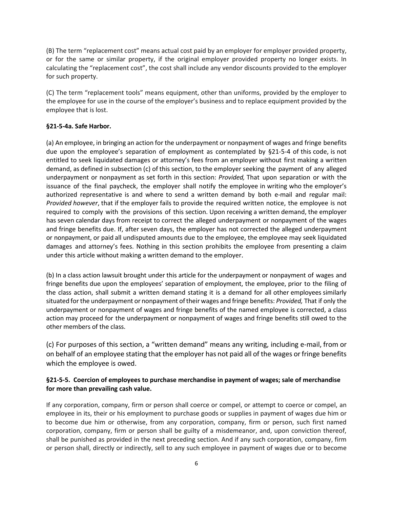(B) The term "replacement cost" means actual cost paid by an employer for employer provided property, or for the same or similar property, if the original employer provided property no longer exists. In calculating the "replacement cost", the cost shall include any vendor discounts provided to the employer for such property.

(C) The term "replacement tools" means equipment, other than uniforms, provided by the employer to the employee for use in the course of the employer's business and to replace equipment provided by the employee that is lost.

## **§21-5-4a. Safe Harbor.**

(a) An employee, in bringing an action for the underpayment or nonpayment of wages and fringe benefits due upon the employee's separation of employment as contemplated by §21-5-4 of this code, is not entitled to seek liquidated damages or attorney's fees from an employer without first making a written demand, as defined in subsection (c) of this section, to the employer seeking the payment of any alleged underpayment or nonpayment as set forth in this section: *Provided,* That upon separation or with the issuance of the final paycheck, the employer shall notify the employee in writing who the employer's authorized representative is and where to send a written demand by both e-mail and regular mail: *Provided however*, that if the employer fails to provide the required written notice, the employee is not required to comply with the provisions of this section. Upon receiving a written demand, the employer has seven calendar days from receipt to correct the alleged underpayment or nonpayment of the wages and fringe benefits due. If, after seven days, the employer has not corrected the alleged underpayment or nonpayment, or paid all undisputed amounts due to the employee, the employee may seek liquidated damages and attorney's fees. Nothing in this section prohibits the employee from presenting a claim under this article without making a written demand to the employer.

(b) In a class action lawsuit brought under this article for the underpayment or nonpayment of wages and fringe benefits due upon the employees' separation of employment, the employee, prior to the filing of the class action, shall submit a written demand stating it is a demand for all other employees similarly situated forthe underpayment or nonpayment oftheir wages and fringe benefits: *Provided,* That if only the underpayment or nonpayment of wages and fringe benefits of the named employee is corrected, a class action may proceed for the underpayment or nonpayment of wages and fringe benefits still owed to the other members of the class.

(c) For purposes of this section, a "written demand" means any writing, including e-mail, from or on behalf of an employee stating that the employer has not paid all of the wages orfringe benefits which the employee is owed.

# **§21-5-5. Coercion of employees to purchase merchandise in payment of wages; sale of merchandise for more than prevailing cash value.**

If any corporation, company, firm or person shall coerce or compel, or attempt to coerce or compel, an employee in its, their or his employment to purchase goods or supplies in payment of wages due him or to become due him or otherwise, from any corporation, company, firm or person, such first named corporation, company, firm or person shall be guilty of a misdemeanor, and, upon conviction thereof, shall be punished as provided in the next preceding section. And if any such corporation, company, firm or person shall, directly or indirectly, sell to any such employee in payment of wages due or to become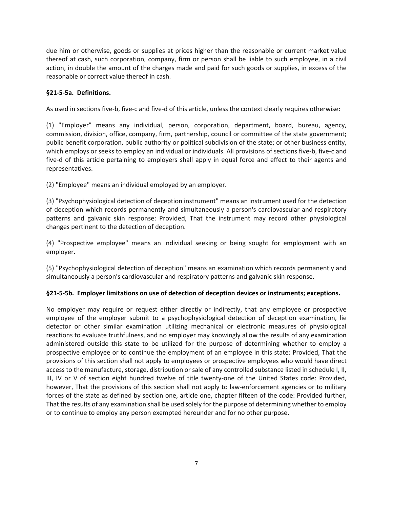due him or otherwise, goods or supplies at prices higher than the reasonable or current market value thereof at cash, such corporation, company, firm or person shall be liable to such employee, in a civil action, in double the amount of the charges made and paid for such goods or supplies, in excess of the reasonable or correct value thereof in cash.

## **§21-5-5a. Definitions.**

As used in sections five-b, five-c and five-d of this article, unless the context clearly requires otherwise:

(1) "Employer" means any individual, person, corporation, department, board, bureau, agency, commission, division, office, company, firm, partnership, council or committee of the state government; public benefit corporation, public authority or political subdivision of the state; or other business entity, which employs or seeks to employ an individual or individuals. All provisions of sections five-b, five-c and five-d of this article pertaining to employers shall apply in equal force and effect to their agents and representatives.

(2) "Employee" means an individual employed by an employer.

(3) "Psychophysiological detection of deception instrument" means an instrument used for the detection of deception which records permanently and simultaneously a person's cardiovascular and respiratory patterns and galvanic skin response: Provided, That the instrument may record other physiological changes pertinent to the detection of deception.

(4) "Prospective employee" means an individual seeking or being sought for employment with an employer.

(5) "Psychophysiological detection of deception" means an examination which records permanently and simultaneously a person's cardiovascular and respiratory patterns and galvanic skin response.

## **§21-5-5b. Employer limitations on use of detection of deception devices or instruments; exceptions.**

No employer may require or request either directly or indirectly, that any employee or prospective employee of the employer submit to a psychophysiological detection of deception examination, lie detector or other similar examination utilizing mechanical or electronic measures of physiological reactions to evaluate truthfulness, and no employer may knowingly allow the results of any examination administered outside this state to be utilized for the purpose of determining whether to employ a prospective employee or to continue the employment of an employee in this state: Provided, That the provisions of this section shall not apply to employees or prospective employees who would have direct access to the manufacture, storage, distribution or sale of any controlled substance listed in schedule I, II, III, IV or V of section eight hundred twelve of title twenty-one of the United States code: Provided, however, That the provisions of this section shall not apply to law-enforcement agencies or to military forces of the state as defined by section one, article one, chapter fifteen of the code: Provided further, That the results of any examination shall be used solely for the purpose of determining whether to employ or to continue to employ any person exempted hereunder and for no other purpose.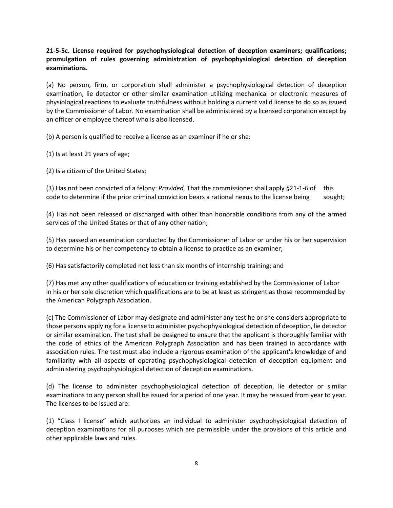**21-5-5c. License required for psychophysiological detection of deception examiners; qualifications; promulgation of rules governing administration of psychophysiological detection of deception examinations.**

(a) No person, firm, or corporation shall administer a psychophysiological detection of deception examination, lie detector or other similar examination utilizing mechanical or electronic measures of physiological reactions to evaluate truthfulness without holding a current valid license to do so as issued by the Commissioner of Labor. No examination shall be administered by a licensed corporation except by an officer or employee thereof who is also licensed.

(b) A person is qualified to receive a license as an examiner if he or she:

(1) Is at least 21 years of age;

(2) Is a citizen of the United States;

(3) Has not been convicted of a felony: *Provided,* That the commissioner shall apply §21-1-6 of this code to determine if the prior criminal conviction bears a rational nexus to the license being sought;

(4) Has not been released or discharged with other than honorable conditions from any of the armed services of the United States or that of any other nation;

(5) Has passed an examination conducted by the Commissioner of Labor or under his or her supervision to determine his or her competency to obtain a license to practice as an examiner;

(6) Has satisfactorily completed not less than six months of internship training; and

(7) Has met any other qualifications of education or training established by the Commissioner of Labor in his or her sole discretion which qualifications are to be at least as stringent as those recommended by the American Polygraph Association.

(c) The Commissioner of Labor may designate and administer any test he or she considers appropriate to those persons applying for a license to administer psychophysiological detection of deception, lie detector or similar examination. The test shall be designed to ensure that the applicant is thoroughly familiar with the code of ethics of the American Polygraph Association and has been trained in accordance with association rules. The test must also include a rigorous examination of the applicant's knowledge of and familiarity with all aspects of operating psychophysiological detection of deception equipment and administering psychophysiological detection of deception examinations.

(d) The license to administer psychophysiological detection of deception, lie detector or similar examinations to any person shall be issued for a period of one year. It may be reissued from year to year. The licenses to be issued are:

(1) "Class I license" which authorizes an individual to administer psychophysiological detection of deception examinations for all purposes which are permissible under the provisions of this article and other applicable laws and rules.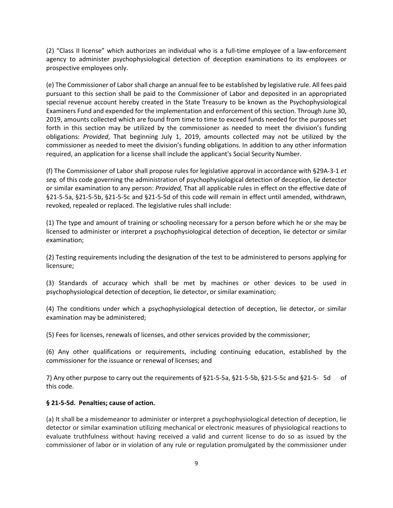(2) "Class II license" which authorizes an individual who is a full-time employee of a law-enforcement agency to administer psychophysiological detection of deception examinations to its employees or prospective employees only.

(e) The Commissioner of Labor shall charge an annual fee to be established by legislative rule. All fees paid pursuant to this section shall be paid to the Commissioner of Labor and deposited in an appropriated special revenue account hereby created in the State Treasury to be known as the Psychophysiological Examiners Fund and expended for the implementation and enforcement of this section. Through June 30, 2019, amounts collected which are found from time to time to exceed funds needed for the purposes set forth in this section may be utilized by the commissioner as needed to meet the division's funding obligations: *Provided*, That beginning July 1, 2019, amounts collected may not be utilized by the commissioner as needed to meet the division's funding obligations. In addition to any other information required, an application for a license shall include the applicant's Social Security Number.

(f) The Commissioner of Labor shall propose rules for legislative approval in accordance with §29A-3-1 *et seq.* of this code governing the administration of psychophysiological detection of deception, lie detector or similar examination to any person: *Provided,* That all applicable rules in effect on the effective date of §21-5-5a, §21-5-5b, §21-5-5c and §21-5-5d of this code will remain in effect until amended, withdrawn, revoked, repealed or replaced. The legislative rules shall include:

(1) The type and amount of training or schooling necessary for a person before which he or she may be licensed to administer or interpret a psychophysiological detection of deception, lie detector or similar examination;

(2) Testing requirements including the designation of the test to be administered to persons applying for licensure;

(3) Standards of accuracy which shall be met by machines or other devices to be used in psychophysiological detection of deception, lie detector, or similar examination;

(4) The conditions under which a psychophysiological detection of deception, lie detector, or similar examination may be administered;

(5) Fees for licenses, renewals of licenses, and other services provided by the commissioner;

(6) Any other qualifications or requirements, including continuing education, established by the commissioner for the issuance or renewal of licenses; and

7) Any other purpose to carry out the requirements of §21-5-5a, §21-5-5b, §21-5-5c and §21-5- 5d of this code.

#### **§ 21-5-5d. Penalties; cause of action.**

(a) It shall be a misdemeanor to administer or interpret a psychophysiological detection of deception, lie detector or similar examination utilizing mechanical or electronic measures of physiological reactions to evaluate truthfulness without having received a valid and current license to do so as issued by the commissioner of labor or in violation of any rule or regulation promulgated by the commissioner under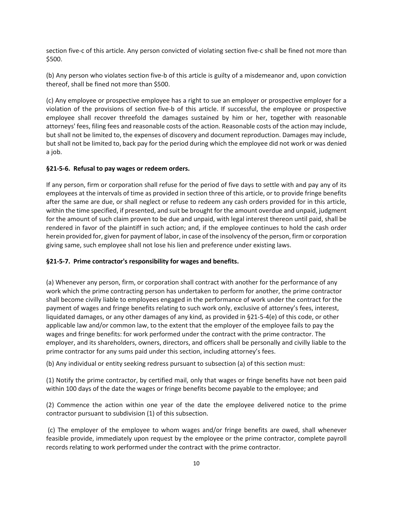section five-c of this article. Any person convicted of violating section five-c shall be fined not more than \$500.

(b) Any person who violates section five-b of this article is guilty of a misdemeanor and, upon conviction thereof, shall be fined not more than \$500.

(c) Any employee or prospective employee has a right to sue an employer or prospective employer for a violation of the provisions of section five-b of this article. If successful, the employee or prospective employee shall recover threefold the damages sustained by him or her, together with reasonable attorneys' fees, filing fees and reasonable costs of the action. Reasonable costs of the action may include, but shall not be limited to, the expenses of discovery and document reproduction. Damages may include, but shall not be limited to, back pay for the period during which the employee did not work or was denied a job.

#### **§21-5-6. Refusal to pay wages or redeem orders.**

If any person, firm or corporation shall refuse for the period of five days to settle with and pay any of its employees at the intervals of time as provided in section three of this article, or to provide fringe benefits after the same are due, or shall neglect or refuse to redeem any cash orders provided for in this article, within the time specified, if presented, and suit be brought for the amount overdue and unpaid, judgment for the amount of such claim proven to be due and unpaid, with legal interest thereon until paid, shall be rendered in favor of the plaintiff in such action; and, if the employee continues to hold the cash order herein provided for, given for payment of labor, in case of the insolvency of the person, firm or corporation giving same, such employee shall not lose his lien and preference under existing laws.

## **§21-5-7. Prime contractor's responsibility for wages and benefits.**

(a) Whenever any person, firm, or corporation shall contract with another for the performance of any work which the prime contracting person has undertaken to perform for another, the prime contractor shall become civilly liable to employees engaged in the performance of work under the contract for the payment of wages and fringe benefits relating to such work only, exclusive of attorney's fees, interest, liquidated damages, or any other damages of any kind, as provided in §21-5-4(e) of this code, or other applicable law and/or common law, to the extent that the employer of the employee fails to pay the wages and fringe benefits: for work performed under the contract with the prime contractor. The employer, and its shareholders, owners, directors, and officers shall be personally and civilly liable to the prime contractor for any sums paid under this section, including attorney's fees.

(b) Any individual or entity seeking redress pursuant to subsection (a) of this section must:

(1) Notify the prime contractor, by certified mail, only that wages or fringe benefits have not been paid within 100 days of the date the wages or fringe benefits become payable to the employee; and

(2) Commence the action within one year of the date the employee delivered notice to the prime contractor pursuant to subdivision (1) of this subsection.

(c) The employer of the employee to whom wages and/or fringe benefits are owed, shall whenever feasible provide, immediately upon request by the employee or the prime contractor, complete payroll records relating to work performed under the contract with the prime contractor.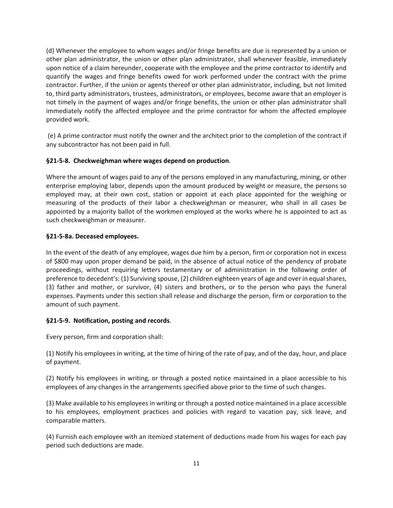(d) Whenever the employee to whom wages and/or fringe benefits are due is represented by a union or other plan administrator, the union or other plan administrator, shall whenever feasible, immediately upon notice of a claim hereunder, cooperate with the employee and the prime contractor to identify and quantify the wages and fringe benefits owed for work performed under the contract with the prime contractor. Further, if the union or agents thereof or other plan administrator, including, but not limited to, third party administrators, trustees, administrators, or employees, become aware that an employer is not timely in the payment of wages and/or fringe benefits, the union or other plan administrator shall immediately notify the affected employee and the prime contractor for whom the affected employee provided work.

(e) A prime contractor must notify the owner and the architect prior to the completion of the contract if any subcontractor has not been paid in full.

## **§21-5-8. Checkweighman where wages depend on production**.

Where the amount of wages paid to any of the persons employed in any manufacturing, mining, or other enterprise employing labor, depends upon the amount produced by weight or measure, the persons so employed may, at their own cost, station or appoint at each place appointed for the weighing or measuring of the products of their labor a checkweighman or measurer, who shall in all cases be appointed by a majority ballot of the workmen employed at the works where he is appointed to act as such checkweighman or measurer.

## **§21-5-8a. Deceased employees.**

In the event of the death of any employee, wages due him by a person, firm or corporation not in excess of \$800 may upon proper demand be paid, in the absence of actual notice of the pendency of probate proceedings, without requiring letters testamentary or of administration in the following order of preference to decedent's: (1) Surviving spouse, (2) children eighteen years of age and over in equal shares, (3) father and mother, or survivor, (4) sisters and brothers, or to the person who pays the funeral expenses. Payments under this section shall release and discharge the person, firm or corporation to the amount of such payment.

## **§21-5-9. Notification, posting and records**.

Every person, firm and corporation shall:

(1) Notify his employees in writing, at the time of hiring of the rate of pay, and of the day, hour, and place of payment.

(2) Notify his employees in writing, or through a posted notice maintained in a place accessible to his employees of any changes in the arrangements specified above prior to the time of such changes.

(3) Make available to his employees in writing or through a posted notice maintained in a place accessible to his employees, employment practices and policies with regard to vacation pay, sick leave, and comparable matters.

(4) Furnish each employee with an itemized statement of deductions made from his wages for each pay period such deductions are made.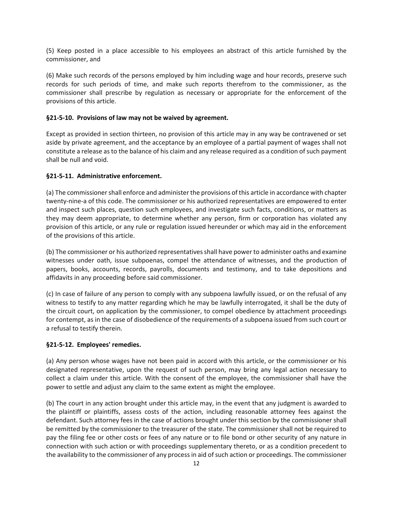(5) Keep posted in a place accessible to his employees an abstract of this article furnished by the commissioner, and

(6) Make such records of the persons employed by him including wage and hour records, preserve such records for such periods of time, and make such reports therefrom to the commissioner, as the commissioner shall prescribe by regulation as necessary or appropriate for the enforcement of the provisions of this article.

#### **§21-5-10. Provisions of law may not be waived by agreement.**

Except as provided in section thirteen, no provision of this article may in any way be contravened or set aside by private agreement, and the acceptance by an employee of a partial payment of wages shall not constitute a release as to the balance of his claim and any release required as a condition of such payment shall be null and void.

#### **§21-5-11. Administrative enforcement.**

(a) The commissioner shall enforce and administer the provisions of this article in accordance with chapter twenty-nine-a of this code. The commissioner or his authorized representatives are empowered to enter and inspect such places, question such employees, and investigate such facts, conditions, or matters as they may deem appropriate, to determine whether any person, firm or corporation has violated any provision of this article, or any rule or regulation issued hereunder or which may aid in the enforcement of the provisions of this article.

(b) The commissioner or his authorized representatives shall have power to administer oaths and examine witnesses under oath, issue subpoenas, compel the attendance of witnesses, and the production of papers, books, accounts, records, payrolls, documents and testimony, and to take depositions and affidavits in any proceeding before said commissioner.

(c) In case of failure of any person to comply with any subpoena lawfully issued, or on the refusal of any witness to testify to any matter regarding which he may be lawfully interrogated, it shall be the duty of the circuit court, on application by the commissioner, to compel obedience by attachment proceedings for contempt, as in the case of disobedience of the requirements of a subpoena issued from such court or a refusal to testify therein.

#### **§21-5-12. Employees' remedies.**

(a) Any person whose wages have not been paid in accord with this article, or the commissioner or his designated representative, upon the request of such person, may bring any legal action necessary to collect a claim under this article. With the consent of the employee, the commissioner shall have the power to settle and adjust any claim to the same extent as might the employee.

(b) The court in any action brought under this article may, in the event that any judgment is awarded to the plaintiff or plaintiffs, assess costs of the action, including reasonable attorney fees against the defendant. Such attorney fees in the case of actions brought under this section by the commissioner shall be remitted by the commissioner to the treasurer of the state. The commissioner shall not be required to pay the filing fee or other costs or fees of any nature or to file bond or other security of any nature in connection with such action or with proceedings supplementary thereto, or as a condition precedent to the availability to the commissioner of any process in aid of such action or proceedings. The commissioner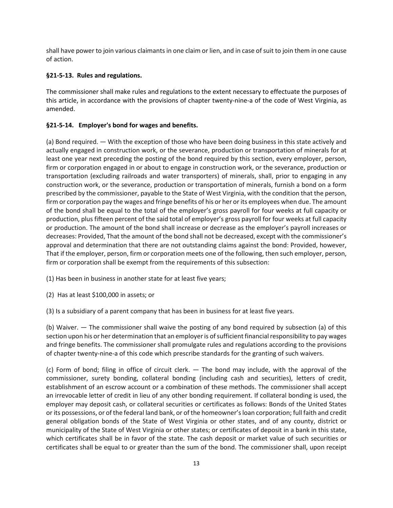shall have power to join various claimants in one claim or lien, and in case of suit to join them in one cause of action.

# **§21-5-13. Rules and regulations.**

The commissioner shall make rules and regulations to the extent necessary to effectuate the purposes of this article, in accordance with the provisions of chapter twenty-nine-a of the code of West Virginia, as amended.

# **§21-5-14. Employer's bond for wages and benefits.**

(a) Bond required. — With the exception of those who have been doing business in this state actively and actually engaged in construction work, or the severance, production or transportation of minerals for at least one year next preceding the posting of the bond required by this section, every employer, person, firm or corporation engaged in or about to engage in construction work, or the severance, production or transportation (excluding railroads and water transporters) of minerals, shall, prior to engaging in any construction work, or the severance, production or transportation of minerals, furnish a bond on a form prescribed by the commissioner, payable to the State of West Virginia, with the condition that the person, firm or corporation pay the wages and fringe benefits of his or her or its employees when due. The amount of the bond shall be equal to the total of the employer's gross payroll for four weeks at full capacity or production, plus fifteen percent of the said total of employer's gross payroll for four weeks at full capacity or production. The amount of the bond shall increase or decrease as the employer's payroll increases or decreases: Provided, That the amount of the bond shall not be decreased, except with the commissioner's approval and determination that there are not outstanding claims against the bond: Provided, however, That if the employer, person, firm or corporation meets one of the following, then such employer, person, firm or corporation shall be exempt from the requirements of this subsection:

(1) Has been in business in another state for at least five years;

(2) Has at least \$100,000 in assets; or

(3) Is a subsidiary of a parent company that has been in business for at least five years.

(b) Waiver. — The commissioner shall waive the posting of any bond required by subsection (a) of this section upon his or her determination that an employer is of sufficient financial responsibility to pay wages and fringe benefits. The commissioner shall promulgate rules and regulations according to the provisions of chapter twenty-nine-a of this code which prescribe standards for the granting of such waivers.

(c) Form of bond; filing in office of circuit clerk. — The bond may include, with the approval of the commissioner, surety bonding, collateral bonding (including cash and securities), letters of credit, establishment of an escrow account or a combination of these methods. The commissioner shall accept an irrevocable letter of credit in lieu of any other bonding requirement. If collateral bonding is used, the employer may deposit cash, or collateral securities or certificates as follows: Bonds of the United States or its possessions, or of the federal land bank, or of the homeowner's loan corporation; full faith and credit general obligation bonds of the State of West Virginia or other states, and of any county, district or municipality of the State of West Virginia or other states; or certificates of deposit in a bank in this state, which certificates shall be in favor of the state. The cash deposit or market value of such securities or certificates shall be equal to or greater than the sum of the bond. The commissioner shall, upon receipt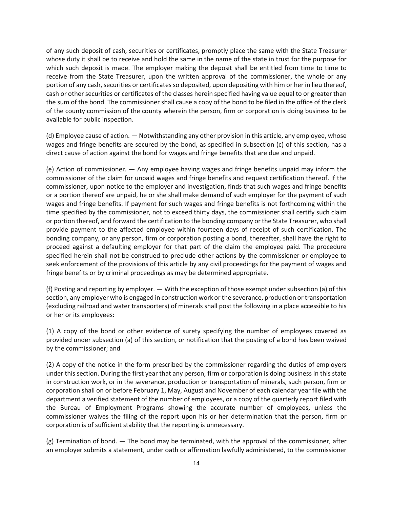of any such deposit of cash, securities or certificates, promptly place the same with the State Treasurer whose duty it shall be to receive and hold the same in the name of the state in trust for the purpose for which such deposit is made. The employer making the deposit shall be entitled from time to time to receive from the State Treasurer, upon the written approval of the commissioner, the whole or any portion of any cash, securities or certificates so deposited, upon depositing with him or her in lieu thereof, cash or other securities or certificates of the classes herein specified having value equal to or greater than the sum of the bond. The commissioner shall cause a copy of the bond to be filed in the office of the clerk of the county commission of the county wherein the person, firm or corporation is doing business to be available for public inspection.

(d) Employee cause of action. — Notwithstanding any other provision in this article, any employee, whose wages and fringe benefits are secured by the bond, as specified in subsection (c) of this section, has a direct cause of action against the bond for wages and fringe benefits that are due and unpaid.

(e) Action of commissioner. — Any employee having wages and fringe benefits unpaid may inform the commissioner of the claim for unpaid wages and fringe benefits and request certification thereof. If the commissioner, upon notice to the employer and investigation, finds that such wages and fringe benefits or a portion thereof are unpaid, he or she shall make demand of such employer for the payment of such wages and fringe benefits. If payment for such wages and fringe benefits is not forthcoming within the time specified by the commissioner, not to exceed thirty days, the commissioner shall certify such claim or portion thereof, and forward the certification to the bonding company or the State Treasurer, who shall provide payment to the affected employee within fourteen days of receipt of such certification. The bonding company, or any person, firm or corporation posting a bond, thereafter, shall have the right to proceed against a defaulting employer for that part of the claim the employee paid. The procedure specified herein shall not be construed to preclude other actions by the commissioner or employee to seek enforcement of the provisions of this article by any civil proceedings for the payment of wages and fringe benefits or by criminal proceedings as may be determined appropriate.

(f) Posting and reporting by employer. — With the exception of those exempt under subsection (a) of this section, any employer who is engaged in construction work or the severance, production or transportation (excluding railroad and water transporters) of minerals shall post the following in a place accessible to his or her or its employees:

(1) A copy of the bond or other evidence of surety specifying the number of employees covered as provided under subsection (a) of this section, or notification that the posting of a bond has been waived by the commissioner; and

(2) A copy of the notice in the form prescribed by the commissioner regarding the duties of employers under this section. During the first year that any person, firm or corporation is doing business in this state in construction work, or in the severance, production or transportation of minerals, such person, firm or corporation shall on or before February 1, May, August and November of each calendar year file with the department a verified statement of the number of employees, or a copy of the quarterly report filed with the Bureau of Employment Programs showing the accurate number of employees, unless the commissioner waives the filing of the report upon his or her determination that the person, firm or corporation is of sufficient stability that the reporting is unnecessary.

(g) Termination of bond. — The bond may be terminated, with the approval of the commissioner, after an employer submits a statement, under oath or affirmation lawfully administered, to the commissioner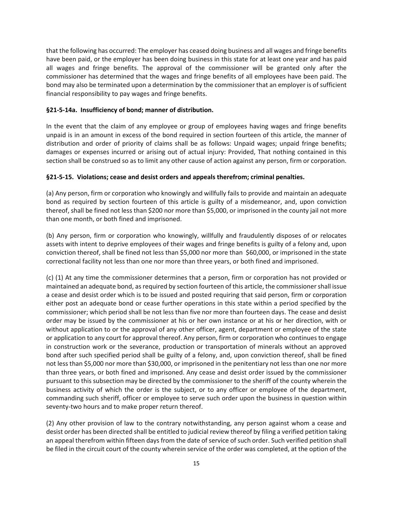that the following has occurred: The employer has ceased doing business and all wages and fringe benefits have been paid, or the employer has been doing business in this state for at least one year and has paid all wages and fringe benefits. The approval of the commissioner will be granted only after the commissioner has determined that the wages and fringe benefits of all employees have been paid. The bond may also be terminated upon a determination by the commissioner that an employer is of sufficient financial responsibility to pay wages and fringe benefits.

#### **§21-5-14a. Insufficiency of bond; manner of distribution.**

In the event that the claim of any employee or group of employees having wages and fringe benefits unpaid is in an amount in excess of the bond required in section fourteen of this article, the manner of distribution and order of priority of claims shall be as follows: Unpaid wages; unpaid fringe benefits; damages or expenses incurred or arising out of actual injury: Provided, That nothing contained in this section shall be construed so as to limit any other cause of action against any person, firm or corporation.

#### **§21-5-15. Violations; cease and desist orders and appeals therefrom; criminal penalties.**

(a) Any person, firm or corporation who knowingly and willfully fails to provide and maintain an adequate bond as required by section fourteen of this article is guilty of a misdemeanor, and, upon conviction thereof, shall be fined not less than \$200 nor more than \$5,000, or imprisoned in the county jail not more than one month, or both fined and imprisoned.

(b) Any person, firm or corporation who knowingly, willfully and fraudulently disposes of or relocates assets with intent to deprive employees of their wages and fringe benefits is guilty of a felony and, upon conviction thereof, shall be fined not less than \$5,000 nor more than \$60,000, or imprisoned in the state correctional facility not less than one nor more than three years, or both fined and imprisoned.

(c) (1) At any time the commissioner determines that a person, firm or corporation has not provided or maintained an adequate bond, as required by section fourteen of this article, the commissioner shall issue a cease and desist order which is to be issued and posted requiring that said person, firm or corporation either post an adequate bond or cease further operations in this state within a period specified by the commissioner; which period shall be not less than five nor more than fourteen days. The cease and desist order may be issued by the commissioner at his or her own instance or at his or her direction, with or without application to or the approval of any other officer, agent, department or employee of the state or application to any court for approval thereof. Any person, firm or corporation who continues to engage in construction work or the severance, production or transportation of minerals without an approved bond after such specified period shall be guilty of a felony, and, upon conviction thereof, shall be fined not less than \$5,000 nor more than \$30,000, or imprisoned in the penitentiary not less than one nor more than three years, or both fined and imprisoned. Any cease and desist order issued by the commissioner pursuant to this subsection may be directed by the commissioner to the sheriff of the county wherein the business activity of which the order is the subject, or to any officer or employee of the department, commanding such sheriff, officer or employee to serve such order upon the business in question within seventy-two hours and to make proper return thereof.

(2) Any other provision of law to the contrary notwithstanding, any person against whom a cease and desist order has been directed shall be entitled to judicial review thereof by filing a verified petition taking an appeal therefrom within fifteen days from the date of service of such order. Such verified petition shall be filed in the circuit court of the county wherein service of the order was completed, at the option of the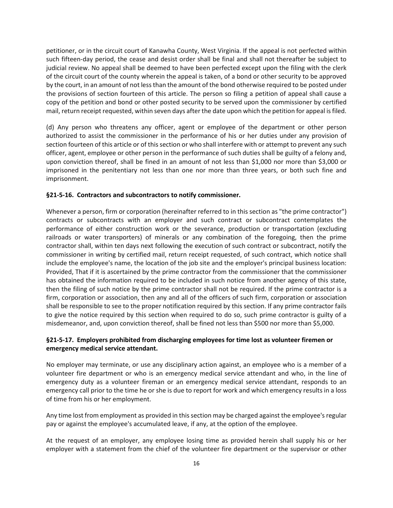petitioner, or in the circuit court of Kanawha County, West Virginia. If the appeal is not perfected within such fifteen-day period, the cease and desist order shall be final and shall not thereafter be subject to judicial review. No appeal shall be deemed to have been perfected except upon the filing with the clerk of the circuit court of the county wherein the appeal is taken, of a bond or other security to be approved by the court, in an amount of not less than the amount of the bond otherwise required to be posted under the provisions of section fourteen of this article. The person so filing a petition of appeal shall cause a copy of the petition and bond or other posted security to be served upon the commissioner by certified mail, return receipt requested, within seven days after the date upon which the petition for appeal is filed.

(d) Any person who threatens any officer, agent or employee of the department or other person authorized to assist the commissioner in the performance of his or her duties under any provision of section fourteen of this article or of this section or who shall interfere with or attempt to prevent any such officer, agent, employee or other person in the performance of such duties shall be guilty of a felony and, upon conviction thereof, shall be fined in an amount of not less than \$1,000 nor more than \$3,000 or imprisoned in the penitentiary not less than one nor more than three years, or both such fine and imprisonment.

#### **§21-5-16. Contractors and subcontractors to notify commissioner.**

Whenever a person, firm or corporation (hereinafter referred to in this section as "the prime contractor") contracts or subcontracts with an employer and such contract or subcontract contemplates the performance of either construction work or the severance, production or transportation (excluding railroads or water transporters) of minerals or any combination of the foregoing, then the prime contractor shall, within ten days next following the execution of such contract or subcontract, notify the commissioner in writing by certified mail, return receipt requested, of such contract, which notice shall include the employee's name, the location of the job site and the employer's principal business location: Provided, That if it is ascertained by the prime contractor from the commissioner that the commissioner has obtained the information required to be included in such notice from another agency of this state, then the filing of such notice by the prime contractor shall not be required. If the prime contractor is a firm, corporation or association, then any and all of the officers of such firm, corporation or association shall be responsible to see to the proper notification required by this section. If any prime contractor fails to give the notice required by this section when required to do so, such prime contractor is guilty of a misdemeanor, and, upon conviction thereof, shall be fined not less than \$500 nor more than \$5,000.

## **§21-5-17. Employers prohibited from discharging employees for time lost as volunteer firemen or emergency medical service attendant.**

No employer may terminate, or use any disciplinary action against, an employee who is a member of a volunteer fire department or who is an emergency medical service attendant and who, in the line of emergency duty as a volunteer fireman or an emergency medical service attendant, responds to an emergency call prior to the time he or she is due to report for work and which emergency results in a loss of time from his or her employment.

Any time lost from employment as provided in this section may be charged against the employee's regular pay or against the employee's accumulated leave, if any, at the option of the employee.

At the request of an employer, any employee losing time as provided herein shall supply his or her employer with a statement from the chief of the volunteer fire department or the supervisor or other